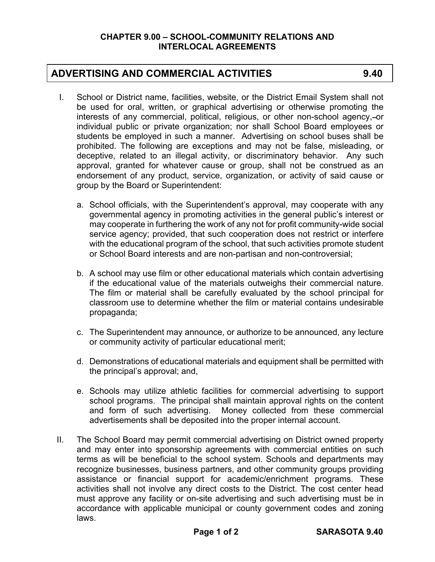## **ADVERTISING AND COMMERCIAL ACTIVITIES 9.40**

- I. School or District name, facilities, website, or the District Email System shall not be used for oral, written, or graphical advertising or otherwise promoting the interests of any commercial, political, religious, or other non-school agency,-or individual public or private organization; nor shall School Board employees or students be employed in such a manner. Advertising on school buses shall be prohibited. The following are exceptions and may not be false, misleading, or deceptive, related to an illegal activity, or discriminatory behavior. Any such approval, granted for whatever cause or group, shall not be construed as an endorsement of any product, service, organization, or activity of said cause or group by the Board or Superintendent:
	- a. School officials, with the Superintendent's approval, may cooperate with any governmental agency in promoting activities in the general public's interest or may cooperate in furthering the work of any not for profit community-wide social service agency; provided, that such cooperation does not restrict or interfere with the educational program of the school, that such activities promote student or School Board interests and are non-partisan and non-controversial;
	- b. A school may use film or other educational materials which contain advertising if the educational value of the materials outweighs their commercial nature. The film or material shall be carefully evaluated by the school principal for classroom use to determine whether the film or material contains undesirable propaganda;
	- c. The Superintendent may announce, or authorize to be announced, any lecture or community activity of particular educational merit;
	- d. Demonstrations of educational materials and equipment shall be permitted with the principal's approval; and,
	- e. Schools may utilize athletic facilities for commercial advertising to support school programs. The principal shall maintain approval rights on the content and form of such advertising. Money collected from these commercial advertisements shall be deposited into the proper internal account.
- II. The School Board may permit commercial advertising on District owned property and may enter into sponsorship agreements with commercial entities on such terms as will be beneficial to the school system. Schools and departments may recognize businesses, business partners, and other community groups providing assistance or financial support for academic/enrichment programs. These activities shall not involve any direct costs to the District. The cost center head must approve any facility or on-site advertising and such advertising must be in accordance with applicable municipal or county government codes and zoning laws.